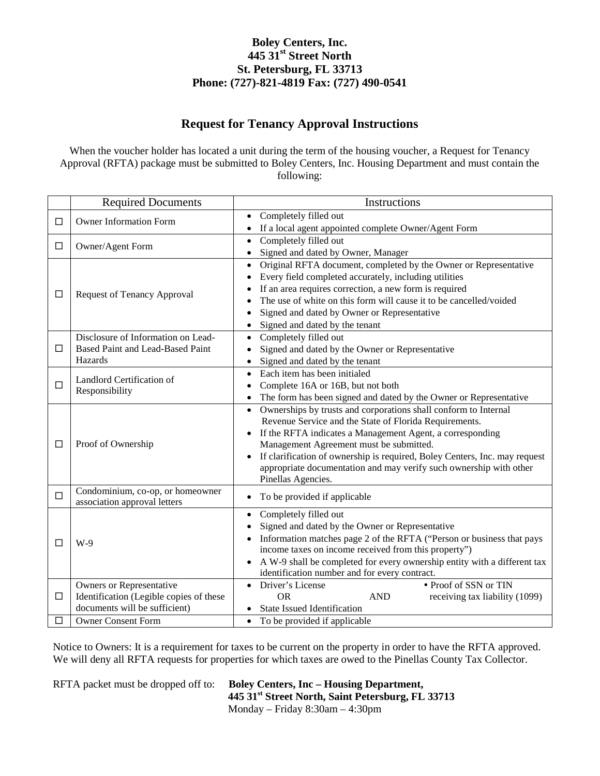### **Request for Tenancy Approval Instructions**

When the voucher holder has located a unit during the term of the housing voucher, a Request for Tenancy Approval (RFTA) package must be submitted to Boley Centers, Inc. Housing Department and must contain the following:

|        | <b>Required Documents</b>                                                         | Instructions                                                                            |
|--------|-----------------------------------------------------------------------------------|-----------------------------------------------------------------------------------------|
| $\Box$ | <b>Owner Information Form</b>                                                     | Completely filled out                                                                   |
|        |                                                                                   | If a local agent appointed complete Owner/Agent Form                                    |
| □      | Owner/Agent Form                                                                  | Completely filled out<br>$\bullet$                                                      |
|        |                                                                                   | Signed and dated by Owner, Manager<br>$\bullet$                                         |
|        | <b>Request of Tenancy Approval</b>                                                | Original RFTA document, completed by the Owner or Representative<br>$\bullet$           |
|        |                                                                                   | Every field completed accurately, including utilities<br>$\bullet$                      |
| □      |                                                                                   | If an area requires correction, a new form is required<br>$\bullet$                     |
|        |                                                                                   | The use of white on this form will cause it to be cancelled/voided<br>$\bullet$         |
|        |                                                                                   | Signed and dated by Owner or Representative<br>$\bullet$                                |
|        |                                                                                   | Signed and dated by the tenant<br>$\bullet$                                             |
|        | Disclosure of Information on Lead-<br>Based Paint and Lead-Based Paint<br>Hazards | Completely filled out<br>$\bullet$                                                      |
| □      |                                                                                   | Signed and dated by the Owner or Representative                                         |
|        |                                                                                   | Signed and dated by the tenant                                                          |
|        | Landlord Certification of<br>Responsibility                                       | Each item has been initialed<br>$\bullet$                                               |
| $\Box$ |                                                                                   | Complete 16A or 16B, but not both<br>$\bullet$                                          |
|        |                                                                                   | The form has been signed and dated by the Owner or Representative                       |
|        | Proof of Ownership                                                                | Ownerships by trusts and corporations shall conform to Internal<br>$\bullet$            |
|        |                                                                                   | Revenue Service and the State of Florida Requirements.                                  |
|        |                                                                                   | If the RFTA indicates a Management Agent, a corresponding<br>$\bullet$                  |
| □      |                                                                                   | Management Agreement must be submitted.                                                 |
|        |                                                                                   | If clarification of ownership is required, Boley Centers, Inc. may request<br>$\bullet$ |
|        |                                                                                   | appropriate documentation and may verify such ownership with other                      |
|        |                                                                                   | Pinellas Agencies.                                                                      |
| $\Box$ | Condominium, co-op, or homeowner                                                  | To be provided if applicable<br>$\bullet$                                               |
|        | association approval letters                                                      |                                                                                         |
|        | $W-9$                                                                             | Completely filled out<br>$\bullet$                                                      |
|        |                                                                                   | Signed and dated by the Owner or Representative                                         |
| П      |                                                                                   | Information matches page 2 of the RFTA ("Person or business that pays<br>$\bullet$      |
|        |                                                                                   | income taxes on income received from this property")                                    |
|        |                                                                                   | A W-9 shall be completed for every ownership entity with a different tax<br>$\bullet$   |
|        |                                                                                   | identification number and for every contract.                                           |
|        | Owners or Representative                                                          | • Proof of SSN or TIN<br>Driver's License<br>$\bullet$                                  |
| $\Box$ | Identification (Legible copies of these<br>documents will be sufficient)          | <b>OR</b><br><b>AND</b><br>receiving tax liability (1099)                               |
|        |                                                                                   | <b>State Issued Identification</b>                                                      |
| □      | <b>Owner Consent Form</b>                                                         | To be provided if applicable<br>$\bullet$                                               |

Notice to Owners: It is a requirement for taxes to be current on the property in order to have the RFTA approved. We will deny all RFTA requests for properties for which taxes are owed to the Pinellas County Tax Collector.

RFTA packet must be dropped off to: **Boley Centers, Inc – Housing Department, 445 31st Street North, Saint Petersburg, FL 33713** Monday – Friday 8:30am – 4:30pm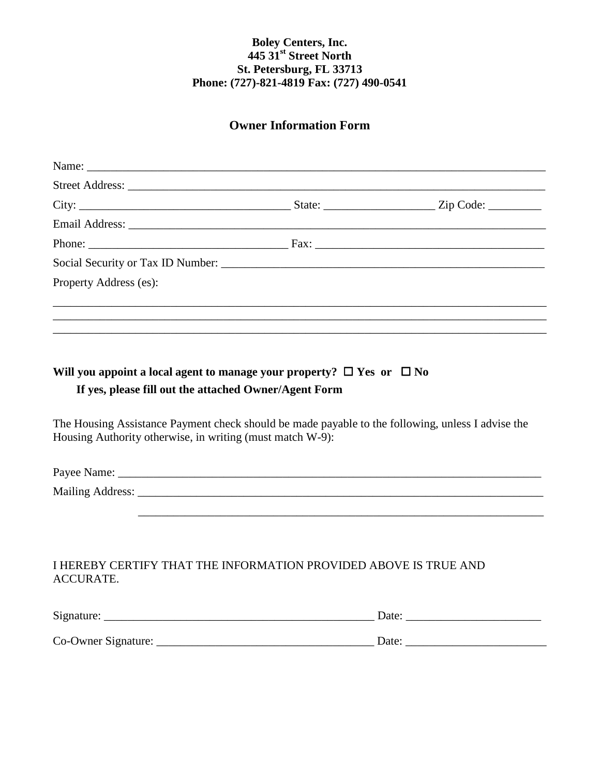### **Owner Information Form**

| Property Address (es):                                                                                                 |  |
|------------------------------------------------------------------------------------------------------------------------|--|
| <u> 1989 - Johann Stoff, deutscher Stoffen und der Stoffen und der Stoffen und der Stoffen und der Stoffen und der</u> |  |
|                                                                                                                        |  |
|                                                                                                                        |  |

# **Will you appoint a local agent to manage your property?**  $\Box$  Yes or  $\Box$  No **If yes, please fill out the attached Owner/Agent Form**

The Housing Assistance Payment check should be made payable to the following, unless I advise the Housing Authority otherwise, in writing (must match W-9):

Payee Name: \_\_\_\_\_\_\_\_\_\_\_\_\_\_\_\_\_\_\_\_\_\_\_\_\_\_\_\_\_\_\_\_\_\_\_\_\_\_\_\_\_\_\_\_\_\_\_\_\_\_\_\_\_\_\_\_\_\_\_\_\_\_\_\_\_\_\_\_\_\_\_\_

\_\_\_\_\_\_\_\_\_\_\_\_\_\_\_\_\_\_\_\_\_\_\_\_\_\_\_\_\_\_\_\_\_\_\_\_\_\_\_\_\_\_\_\_\_\_\_\_\_\_\_\_\_\_\_\_\_\_\_\_\_\_\_\_\_\_\_\_\_

Mailing Address: \_\_\_\_\_\_\_\_\_\_\_\_\_\_\_\_\_\_\_\_\_\_\_\_\_\_\_\_\_\_\_\_\_\_\_\_\_\_\_\_\_\_\_\_\_\_\_\_\_\_\_\_\_\_\_\_\_\_\_\_\_\_\_\_\_\_\_\_\_

### I HEREBY CERTIFY THAT THE INFORMATION PROVIDED ABOVE IS TRUE AND ACCURATE.

| Signature:          | Date  |
|---------------------|-------|
| Co-Owner Signature: | Date: |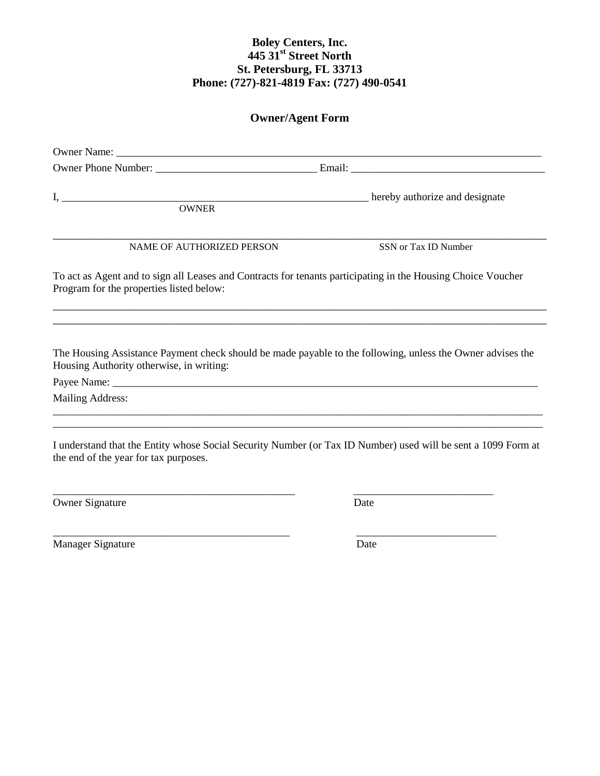## **Owner/Agent Form**

| <b>OWNER</b>                                                                                                                                                 | hereby authorize and designate                                                                                                                                                                  |  |  |  |
|--------------------------------------------------------------------------------------------------------------------------------------------------------------|-------------------------------------------------------------------------------------------------------------------------------------------------------------------------------------------------|--|--|--|
| NAME OF AUTHORIZED PERSON                                                                                                                                    | SSN or Tax ID Number                                                                                                                                                                            |  |  |  |
| To act as Agent and to sign all Leases and Contracts for tenants participating in the Housing Choice Voucher<br>Program for the properties listed below:     |                                                                                                                                                                                                 |  |  |  |
| Housing Authority otherwise, in writing:                                                                                                                     | ,我们也不能会有什么。""我们的人,我们也不能会有什么?""我们的人,我们也不能会有什么?""我们的人,我们也不能会有什么?""我们的人,我们也不能会有什么?""<br>The Housing Assistance Payment check should be made payable to the following, unless the Owner advises the |  |  |  |
| <b>Mailing Address:</b>                                                                                                                                      |                                                                                                                                                                                                 |  |  |  |
| <u> 1989 - Johann John Stone, meny ambany amin'ny fivondronan-kaominin'i Paris (no ben'ny faritr'i Nord-Amerika</u><br>the end of the year for tax purposes. | I understand that the Entity whose Social Security Number (or Tax ID Number) used will be sent a 1099 Form at                                                                                   |  |  |  |
| <b>Owner Signature</b>                                                                                                                                       | Date                                                                                                                                                                                            |  |  |  |

\_\_\_\_\_\_\_\_\_\_\_\_\_\_\_\_\_\_\_\_\_\_\_\_\_\_\_\_\_\_\_\_\_\_\_\_\_\_\_\_\_\_\_\_ \_\_\_\_\_\_\_\_\_\_\_\_\_\_\_\_\_\_\_\_\_\_\_\_\_\_

Manager Signature Date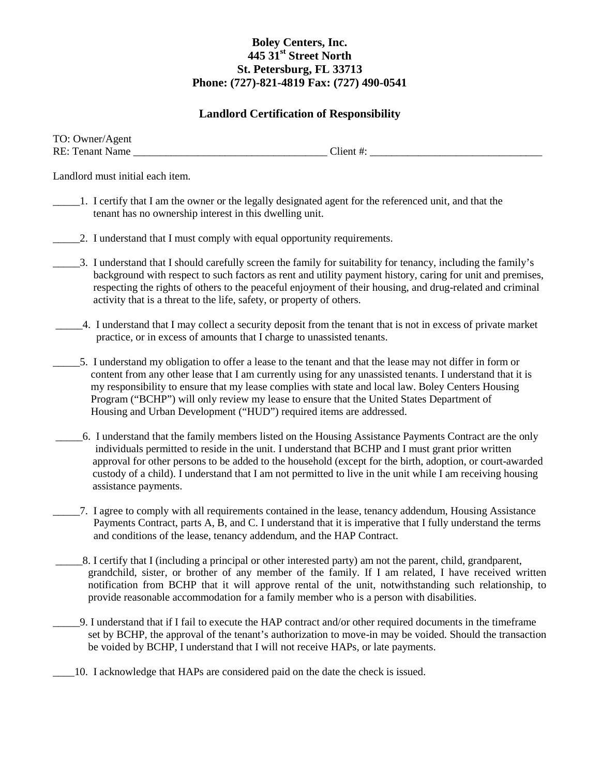### **Landlord Certification of Responsibility**

| TO: Owner/Agent        |          |
|------------------------|----------|
| <b>RE:</b> Tenant Name | -lient * |

Landlord must initial each item.

- \_\_\_\_\_1. I certify that I am the owner or the legally designated agent for the referenced unit, and that the tenant has no ownership interest in this dwelling unit.
- 2. I understand that I must comply with equal opportunity requirements.
- \_\_\_\_\_3. I understand that I should carefully screen the family for suitability for tenancy, including the family's background with respect to such factors as rent and utility payment history, caring for unit and premises, respecting the rights of others to the peaceful enjoyment of their housing, and drug-related and criminal activity that is a threat to the life, safety, or property of others.
- \_\_\_\_\_4. I understand that I may collect a security deposit from the tenant that is not in excess of private market practice, or in excess of amounts that I charge to unassisted tenants.
- \_\_\_\_\_5. I understand my obligation to offer a lease to the tenant and that the lease may not differ in form or content from any other lease that I am currently using for any unassisted tenants. I understand that it is my responsibility to ensure that my lease complies with state and local law. Boley Centers Housing Program ("BCHP") will only review my lease to ensure that the United States Department of Housing and Urban Development ("HUD") required items are addressed.
- \_\_\_\_\_6. I understand that the family members listed on the Housing Assistance Payments Contract are the only individuals permitted to reside in the unit. I understand that BCHP and I must grant prior written approval for other persons to be added to the household (except for the birth, adoption, or court-awarded custody of a child). I understand that I am not permitted to live in the unit while I am receiving housing assistance payments.
	- \_\_\_\_\_7. I agree to comply with all requirements contained in the lease, tenancy addendum, Housing Assistance Payments Contract, parts A, B, and C. I understand that it is imperative that I fully understand the terms and conditions of the lease, tenancy addendum, and the HAP Contract.
- \_\_\_\_\_8. I certify that I (including a principal or other interested party) am not the parent, child, grandparent, grandchild, sister, or brother of any member of the family. If I am related, I have received written notification from BCHP that it will approve rental of the unit, notwithstanding such relationship, to provide reasonable accommodation for a family member who is a person with disabilities.
- \_\_\_\_\_9. I understand that if I fail to execute the HAP contract and/or other required documents in the timeframe set by BCHP, the approval of the tenant's authorization to move-in may be voided. Should the transaction be voided by BCHP, I understand that I will not receive HAPs, or late payments.
- \_\_\_\_10. I acknowledge that HAPs are considered paid on the date the check is issued.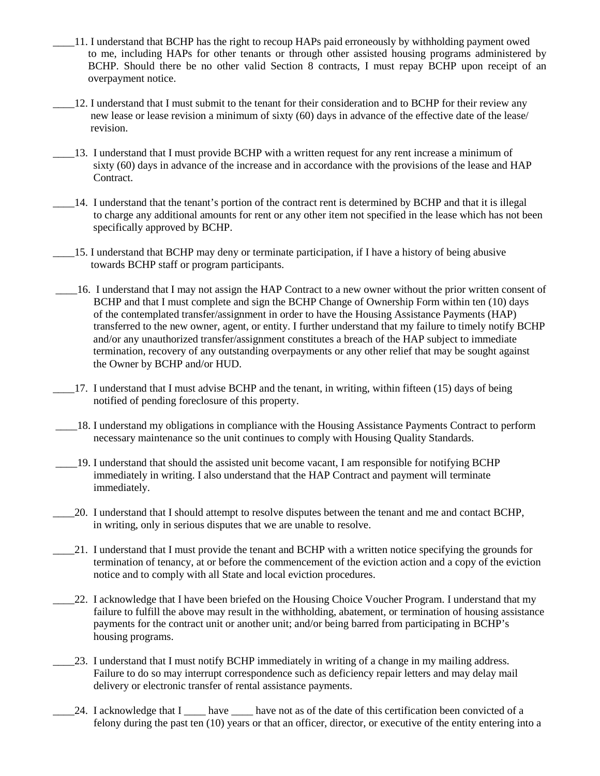- \_\_\_\_11. I understand that BCHP has the right to recoup HAPs paid erroneously by withholding payment owed to me, including HAPs for other tenants or through other assisted housing programs administered by BCHP. Should there be no other valid Section 8 contracts, I must repay BCHP upon receipt of an overpayment notice.
- \_\_\_\_12. I understand that I must submit to the tenant for their consideration and to BCHP for their review any new lease or lease revision a minimum of sixty (60) days in advance of the effective date of the lease/ revision.
- \_\_\_\_13. I understand that I must provide BCHP with a written request for any rent increase a minimum of sixty (60) days in advance of the increase and in accordance with the provisions of the lease and HAP Contract.
- \_\_\_\_14. I understand that the tenant's portion of the contract rent is determined by BCHP and that it is illegal to charge any additional amounts for rent or any other item not specified in the lease which has not been specifically approved by BCHP.
- \_\_\_\_15. I understand that BCHP may deny or terminate participation, if I have a history of being abusive towards BCHP staff or program participants.
- \_\_\_\_16. I understand that I may not assign the HAP Contract to a new owner without the prior written consent of BCHP and that I must complete and sign the BCHP Change of Ownership Form within ten (10) days of the contemplated transfer/assignment in order to have the Housing Assistance Payments (HAP) transferred to the new owner, agent, or entity. I further understand that my failure to timely notify BCHP and/or any unauthorized transfer/assignment constitutes a breach of the HAP subject to immediate termination, recovery of any outstanding overpayments or any other relief that may be sought against the Owner by BCHP and/or HUD.
- \_\_\_\_17. I understand that I must advise BCHP and the tenant, in writing, within fifteen (15) days of being notified of pending foreclosure of this property.
- \_\_\_\_18. I understand my obligations in compliance with the Housing Assistance Payments Contract to perform necessary maintenance so the unit continues to comply with Housing Quality Standards.
- \_\_\_\_19. I understand that should the assisted unit become vacant, I am responsible for notifying BCHP immediately in writing. I also understand that the HAP Contract and payment will terminate immediately.
- \_\_\_\_20. I understand that I should attempt to resolve disputes between the tenant and me and contact BCHP, in writing, only in serious disputes that we are unable to resolve.
- \_\_\_\_21. I understand that I must provide the tenant and BCHP with a written notice specifying the grounds for termination of tenancy, at or before the commencement of the eviction action and a copy of the eviction notice and to comply with all State and local eviction procedures.
- \_\_\_\_22. I acknowledge that I have been briefed on the Housing Choice Voucher Program. I understand that my failure to fulfill the above may result in the withholding, abatement, or termination of housing assistance payments for the contract unit or another unit; and/or being barred from participating in BCHP's housing programs.
- \_\_\_\_23. I understand that I must notify BCHP immediately in writing of a change in my mailing address. Failure to do so may interrupt correspondence such as deficiency repair letters and may delay mail delivery or electronic transfer of rental assistance payments.
- 24. I acknowledge that I have have not as of the date of this certification been convicted of a felony during the past ten (10) years or that an officer, director, or executive of the entity entering into a